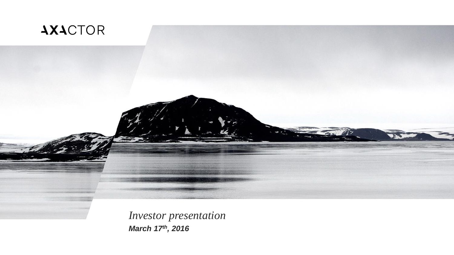

*Investor presentation March 17th, 2016*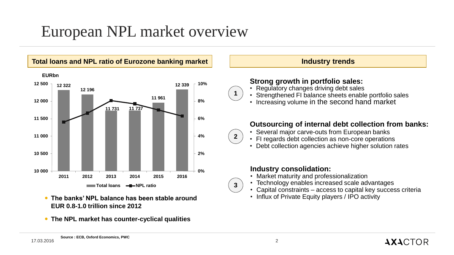# European NPL market overview



**The NPL market has counter-cyclical qualities**

**EUR 0.8-1.0 trillion since 2012**

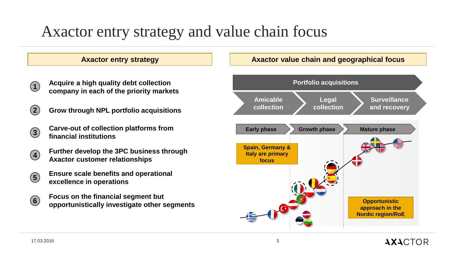# Axactor entry strategy and value chain focus

### **Axactor entry strategy Axactor value chain and geographical focus**

- **1 Acquire a high quality debt collection company in each of the priority markets**
- **2 Grow through NPL portfolio acquisitions**
- **3 Carve-out of collection platforms from financial institutions**
- **4 Further develop the 3PC business through Axactor customer relationships**
- **5 Ensure scale benefits and operational excellence in operations**
	- **Focus on the financial segment but opportunistically investigate other segments**



**6**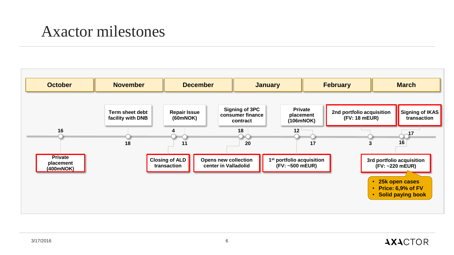## Axactor milestones

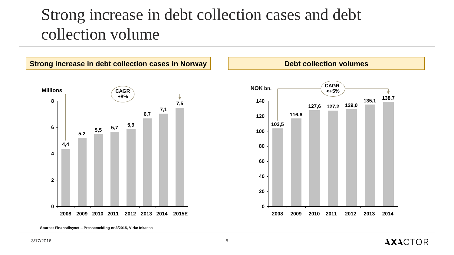# Strong increase in debt collection cases and debt collection volume



**Source: Finanstilsynet – Pressemelding nr.3/2015, Virke Inkasso**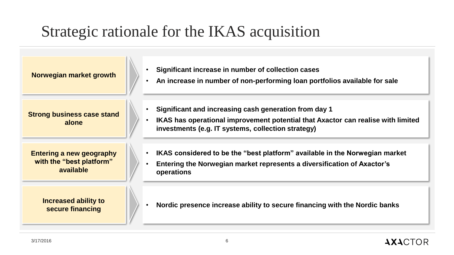# Strategic rationale for the IKAS acquisition

| Norwegian market growth                                                  | Significant increase in number of collection cases<br>An increase in number of non-performing loan portfolios available for sale                                                                |
|--------------------------------------------------------------------------|-------------------------------------------------------------------------------------------------------------------------------------------------------------------------------------------------|
| <b>Strong business case stand</b><br>alone                               | Significant and increasing cash generation from day 1<br>IKAS has operational improvement potential that Axactor can realise with limited<br>investments (e.g. IT systems, collection strategy) |
| <b>Entering a new geography</b><br>with the "best platform"<br>available | IKAS considered to be the "best platform" available in the Norwegian market<br>Entering the Norwegian market represents a diversification of Axactor's<br>operations                            |
| <b>Increased ability to</b><br>secure financing                          | Nordic presence increase ability to secure financing with the Nordic banks                                                                                                                      |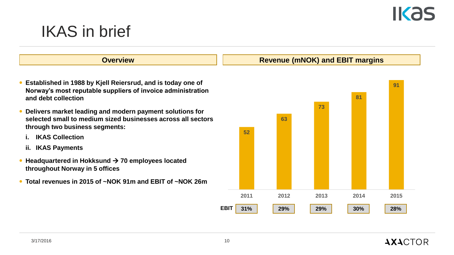# **IKAS**

# IKAS in brief

- **Established in 1988 by Kjell Reiersrud, and is today one of Norway's most reputable suppliers of invoice administration and debt collection**
- **Delivers market leading and modern payment solutions for selected small to medium sized businesses across all sectors through two business segments:**
	- **i. IKAS Collection**
	- **ii. IKAS Payments**
- Headquartered in Hokksund → 70 employees located **throughout Norway in 5 offices**
- **Total revenues in 2015 of ~NOK 91m and EBIT of ~NOK 26m**

#### **Overview COVER 2018 19 Are Service COVER 2019 19:30 Revenue (mNOK) and EBIT margins**